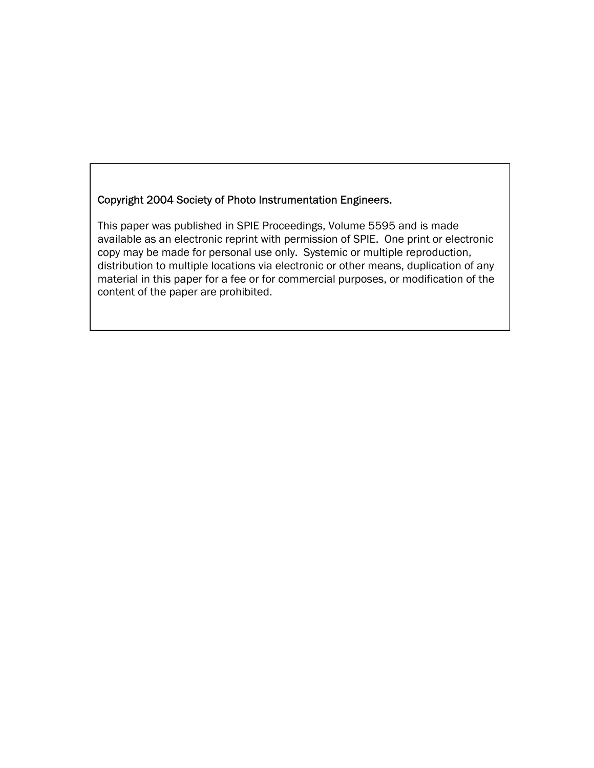# Copyright 2004 Society of Photo Instrumentation Engineers.

This paper was published in SPIE Proceedings, Volume 5595 and is made available as an electronic reprint with permission of SPIE. One print or electronic copy may be made for personal use only. Systemic or multiple reproduction, distribution to multiple locations via electronic or other means, duplication of any material in this paper for a fee or for commercial purposes, or modification of the content of the paper are prohibited.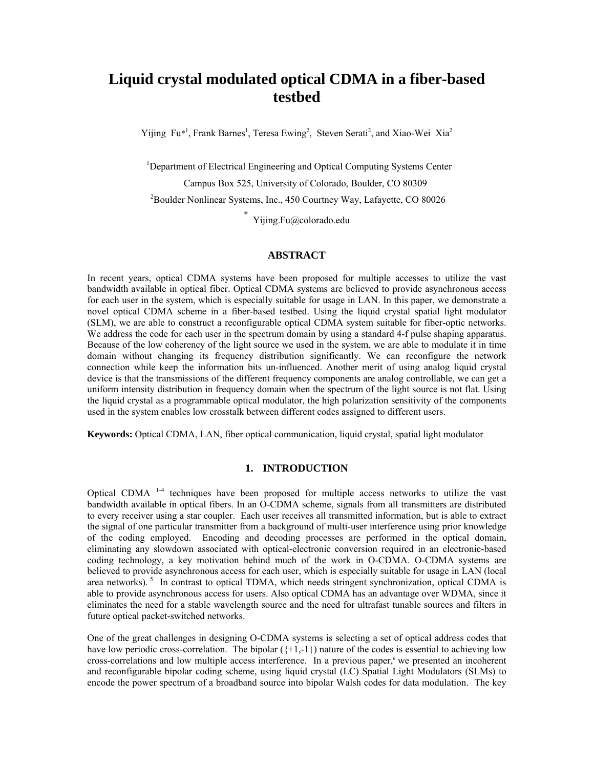# **Liquid crystal modulated optical CDMA in a fiber-based testbed**

Yijing Fu<sup>\*1</sup>, Frank Barnes<sup>1</sup>, Teresa Ewing<sup>2</sup>, Steven Serati<sup>2</sup>, and Xiao-Wei Xia<sup>2</sup>

<sup>1</sup>Department of Electrical Engineering and Optical Computing Systems Center Campus Box 525, University of Colorado, Boulder, CO 80309 2 Boulder Nonlinear Systems, Inc., 450 Courtney Way, Lafayette, CO 80026

\* Yijing.Fu@colorado.edu

# **ABSTRACT**

In recent years, optical CDMA systems have been proposed for multiple accesses to utilize the vast bandwidth available in optical fiber. Optical CDMA systems are believed to provide asynchronous access for each user in the system, which is especially suitable for usage in LAN. In this paper, we demonstrate a novel optical CDMA scheme in a fiber-based testbed. Using the liquid crystal spatial light modulator (SLM), we are able to construct a reconfigurable optical CDMA system suitable for fiber-optic networks. We address the code for each user in the spectrum domain by using a standard 4-f pulse shaping apparatus. Because of the low coherency of the light source we used in the system, we are able to modulate it in time domain without changing its frequency distribution significantly. We can reconfigure the network connection while keep the information bits un-influenced. Another merit of using analog liquid crystal device is that the transmissions of the different frequency components are analog controllable, we can get a uniform intensity distribution in frequency domain when the spectrum of the light source is not flat. Using the liquid crystal as a programmable optical modulator, the high polarization sensitivity of the components used in the system enables low crosstalk between different codes assigned to different users.

**Keywords:** Optical CDMA, LAN, fiber optical communication, liquid crystal, spatial light modulator

# **1. INTRODUCTION**

Optical CDMA  $1-4$  techniques have been proposed for multiple access networks to utilize the vast bandwidth available in optical fibers. In an O-CDMA scheme, signals from all transmitters are distributed to every receiver using a star coupler. Each user receives all transmitted information, but is able to extract the signal of one particular transmitter from a background of multi-user interference using prior knowledge of the coding employed. Encoding and decoding processes are performed in the optical domain, eliminating any slowdown associated with optical-electronic conversion required in an electronic-based coding technology, a key motivation behind much of the work in O-CDMA. O-CDMA systems are believed to provide asynchronous access for each user, which is especially suitable for usage in LAN (local area networks).<sup>5</sup> In contrast to optical TDMA, which needs stringent synchronization, optical CDMA is able to provide asynchronous access for users. Also optical CDMA has an advantage over WDMA, since it eliminates the need for a stable wavelength source and the need for ultrafast tunable sources and filters in future optical packet-switched networks.

One of the great challenges in designing O-CDMA systems is selecting a set of optical address codes that have low periodic cross-correlation. The bipolar  $({+1,-1})$  nature of the codes is essential to achieving low cross-correlations and low multiple access interference. In a previous paper,<sup>6</sup> we presented an incoherent and reconfigurable bipolar coding scheme, using liquid crystal (LC) Spatial Light Modulators (SLMs) to encode the power spectrum of a broadband source into bipolar Walsh codes for data modulation. The key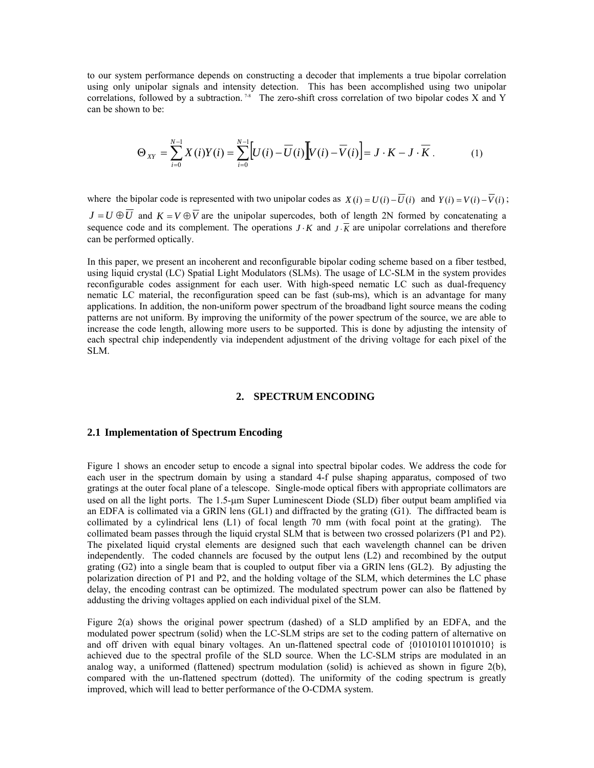to our system performance depends on constructing a decoder that implements a true bipolar correlation using only unipolar signals and intensity detection. This has been accomplished using two unipolar correlations, followed by a subtraction.<sup>74</sup> The zero-shift cross correlation of two bipolar codes X and Y can be shown to be:

$$
\Theta_{XY} = \sum_{i=0}^{N-1} X(i)Y(i) = \sum_{i=0}^{N-1} \Big[ U(i) - \overline{U}(i) \Big] V(i) - \overline{V}(i) \Big] = J \cdot K - J \cdot \overline{K} \,. \tag{1}
$$

where the bipolar code is represented with two unipolar codes as  $X(i) = U(i) - \overline{U}(i)$  and  $Y(i) = V(i) - \overline{V}(i)$ ;  $J = U \oplus \overline{U}$  and  $K = V \oplus \overline{V}$  are the unipolar supercodes, both of length 2N formed by concatenating a sequence code and its complement. The operations *J* ⋅ *K* and *J* ⋅  $\overline{K}$  are unipolar correlations and therefore can be performed optically.

In this paper, we present an incoherent and reconfigurable bipolar coding scheme based on a fiber testbed, using liquid crystal (LC) Spatial Light Modulators (SLMs). The usage of LC-SLM in the system provides reconfigurable codes assignment for each user. With high-speed nematic LC such as dual-frequency nematic LC material, the reconfiguration speed can be fast (sub-ms), which is an advantage for many applications. In addition, the non-uniform power spectrum of the broadband light source means the coding patterns are not uniform. By improving the uniformity of the power spectrum of the source, we are able to increase the code length, allowing more users to be supported. This is done by adjusting the intensity of each spectral chip independently via independent adjustment of the driving voltage for each pixel of the SLM.

#### **2. SPECTRUM ENCODING**

# **2.1 Implementation of Spectrum Encoding**

Figure 1 shows an encoder setup to encode a signal into spectral bipolar codes. We address the code for each user in the spectrum domain by using a standard 4-f pulse shaping apparatus, composed of two gratings at the outer focal plane of a telescope. Single-mode optical fibers with appropriate collimators are used on all the light ports. The 1.5-µm Super Luminescent Diode (SLD) fiber output beam amplified via an EDFA is collimated via a GRIN lens (GL1) and diffracted by the grating (G1). The diffracted beam is collimated by a cylindrical lens (L1) of focal length 70 mm (with focal point at the grating). The collimated beam passes through the liquid crystal SLM that is between two crossed polarizers (P1 and P2). The pixelated liquid crystal elements are designed such that each wavelength channel can be driven independently. The coded channels are focused by the output lens (L2) and recombined by the output grating (G2) into a single beam that is coupled to output fiber via a GRIN lens (GL2). By adjusting the polarization direction of P1 and P2, and the holding voltage of the SLM, which determines the LC phase delay, the encoding contrast can be optimized. The modulated spectrum power can also be flattened by addusting the driving voltages applied on each individual pixel of the SLM.

Figure 2(a) shows the original power spectrum (dashed) of a SLD amplified by an EDFA, and the modulated power spectrum (solid) when the LC-SLM strips are set to the coding pattern of alternative on and off driven with equal binary voltages. An un-flattened spectral code of {0101010110101010} is achieved due to the spectral profile of the SLD source. When the LC-SLM strips are modulated in an analog way, a uniformed (flattened) spectrum modulation (solid) is achieved as shown in figure 2(b), compared with the un-flattened spectrum (dotted). The uniformity of the coding spectrum is greatly improved, which will lead to better performance of the O-CDMA system.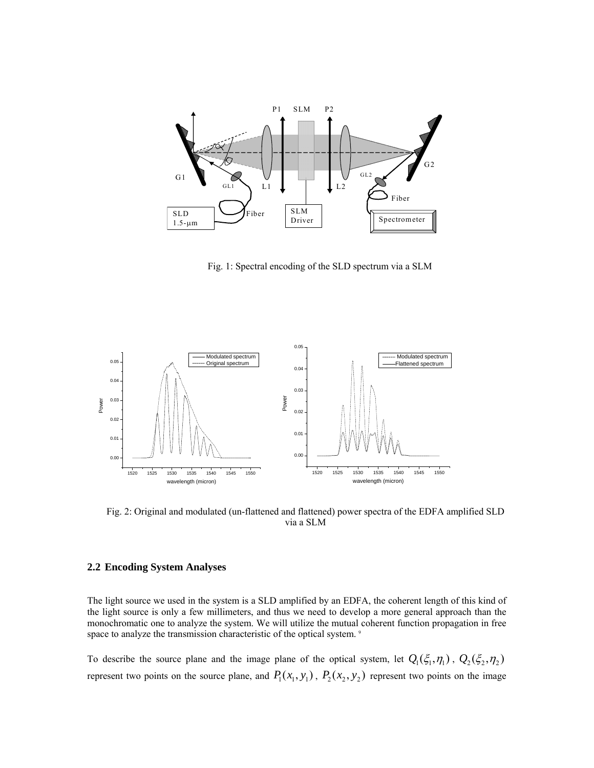

Fig. 1: Spectral encoding of the SLD spectrum via a SLM



Fig. 2: Original and modulated (un-flattened and flattened) power spectra of the EDFA amplified SLD via a SLM

# **2.2 Encoding System Analyses**

The light source we used in the system is a SLD amplified by an EDFA, the coherent length of this kind of the light source is only a few millimeters, and thus we need to develop a more general approach than the monochromatic one to analyze the system. We will utilize the mutual coherent function propagation in free space to analyze the transmission characteristic of the optical system.<sup>9</sup>

To describe the source plane and the image plane of the optical system, let  $Q_1(\xi_1, \eta_1)$ ,  $Q_2(\xi_2, \eta_2)$ represent two points on the source plane, and  $P_1(x_1, y_1)$ ,  $P_2(x_2, y_2)$  represent two points on the image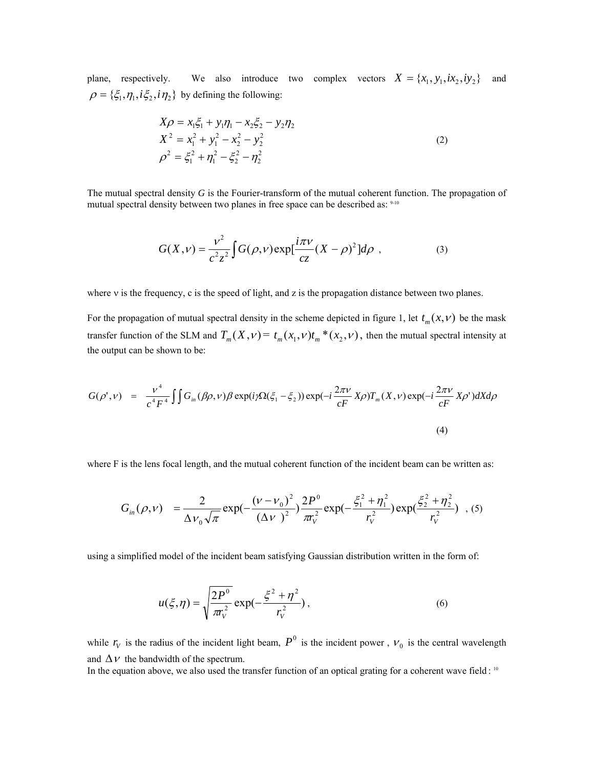plane, respectively. We also introduce two complex vectors  $X = \{x_1, y_1, ix_2, iy_2\}$  and  ${\rho} = {\xi_1, \eta_1, i \xi_2, i \eta_2}$  by defining the following:

$$
X\rho = x_1\xi_1 + y_1\eta_1 - x_2\xi_2 - y_2\eta_2
$$
  
\n
$$
X^2 = x_1^2 + y_1^2 - x_2^2 - y_2^2
$$
  
\n
$$
\rho^2 = \xi_1^2 + \eta_1^2 - \xi_2^2 - \eta_2^2
$$
\n(2)

The mutual spectral density *G* is the Fourier-transform of the mutual coherent function. The propagation of mutual spectral density between two planes in free space can be described as:  $9-10$ 

$$
G(X,\nu) = \frac{\nu^2}{c^2 z^2} \int G(\rho,\nu) \exp[\frac{i\pi\nu}{cz}(X-\rho)^2] d\rho , \qquad (3)
$$

where v is the frequency, c is the speed of light, and z is the propagation distance between two planes.

For the propagation of mutual spectral density in the scheme depicted in figure 1, let  $t_m(x, v)$  be the mask transfer function of the SLM and  $T_m(X, v) = t_m(x_1, v) t_m^*(x_2, v)$ , then the mutual spectral intensity at the output can be shown to be:

$$
G(\rho', \nu) = \frac{\nu^4}{c^4 F^4} \iint G_{in}(\beta \rho, \nu) \beta \exp(i \gamma \Omega(\xi_1 - \xi_2)) \exp(-i \frac{2\pi \nu}{cF} X \rho) T_m(X, \nu) \exp(-i \frac{2\pi \nu}{cF} X \rho') dX d\rho
$$
\n(4)

where F is the lens focal length, and the mutual coherent function of the incident beam can be written as:

$$
G_{in}(\rho, v) = \frac{2}{\Delta v_0 \sqrt{\pi}} \exp(-\frac{(v - v_0)^2}{(\Delta v)^2}) \frac{2P^0}{\pi r_v^2} \exp(-\frac{\xi_1^2 + \eta_1^2}{r_v^2}) \exp(\frac{\xi_2^2 + \eta_2^2}{r_v^2}) \quad , \text{(5)}
$$

using a simplified model of the incident beam satisfying Gaussian distribution written in the form of:

$$
u(\xi, \eta) = \sqrt{\frac{2P^0}{\pi r_v^2}} \exp(-\frac{\xi^2 + \eta^2}{r_v^2}),
$$
 (6)

while  $r_V$  is the radius of the incident light beam,  $P^0$  is the incident power,  $v_0$  is the central wavelength and  $\Delta v$  the bandwidth of the spectrum.

In the equation above, we also used the transfer function of an optical grating for a coherent wave field : <sup>10</sup>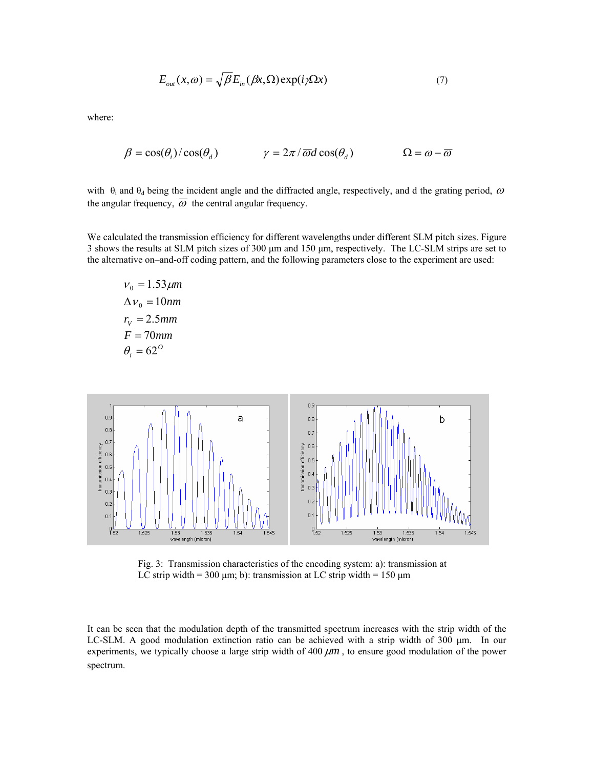$$
E_{out}(x,\omega) = \sqrt{\beta E_{in}(\beta x,\Omega) \exp(i\gamma \Omega x)}
$$
(7)

where:

$$
\beta = \cos(\theta_i)/\cos(\theta_d) \qquad \gamma = 2\pi/\overline{\omega}d\cos(\theta_d) \qquad \Omega = \omega - \overline{\omega}
$$

with  $\theta_i$  and  $\theta_d$  being the incident angle and the diffracted angle, respectively, and d the grating period,  $\omega$ the angular frequency,  $\overline{\omega}$  the central angular frequency.

We calculated the transmission efficiency for different wavelengths under different SLM pitch sizes. Figure 3 shows the results at SLM pitch sizes of 300 µm and 150 µm, respectively. The LC-SLM strips are set to the alternative on–and-off coding pattern, and the following parameters close to the experiment are used:

$$
v_0 = 1.53 \mu m
$$
  
\n
$$
\Delta v_0 = 10nm
$$
  
\n
$$
r_v = 2.5mm
$$
  
\n
$$
F = 70mm
$$
  
\n
$$
\theta_i = 62^\circ
$$



Fig. 3: Transmission characteristics of the encoding system: a): transmission at LC strip width = 300  $\mu$ m; b): transmission at LC strip width = 150  $\mu$ m

It can be seen that the modulation depth of the transmitted spectrum increases with the strip width of the LC-SLM. A good modulation extinction ratio can be achieved with a strip width of 300  $\mu$ m. In our experiments, we typically choose a large strip width of  $400 \mu m$ , to ensure good modulation of the power spectrum.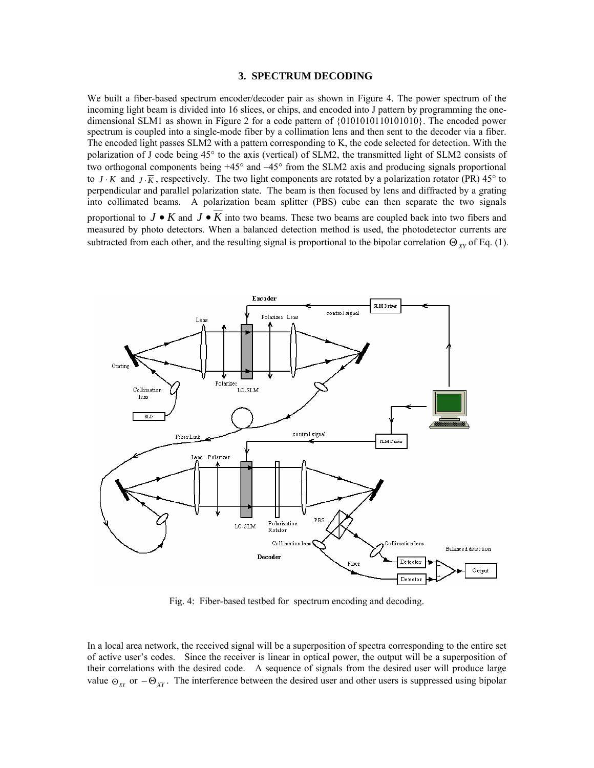#### **3. SPECTRUM DECODING**

We built a fiber-based spectrum encoder/decoder pair as shown in Figure 4. The power spectrum of the incoming light beam is divided into 16 slices, or chips, and encoded into J pattern by programming the onedimensional SLM1 as shown in Figure 2 for a code pattern of  $\{0101010110101010\}$ . The encoded power spectrum is coupled into a single-mode fiber by a collimation lens and then sent to the decoder via a fiber. The encoded light passes SLM2 with a pattern corresponding to K, the code selected for detection. With the polarization of J code being 45° to the axis (vertical) of SLM2, the transmitted light of SLM2 consists of two orthogonal components being +45° and –45° from the SLM2 axis and producing signals proportional to *J* ⋅ *K* and *J* ⋅  $\overline{K}$ , respectively. The two light components are rotated by a polarization rotator (PR) 45° to perpendicular and parallel polarization state. The beam is then focused by lens and diffracted by a grating into collimated beams. A polarization beam splitter (PBS) cube can then separate the two signals proportional to  $J \bullet K$  and  $J \bullet K$  into two beams. These two beams are coupled back into two fibers and measured by photo detectors. When a balanced detection method is used, the photodetector currents are subtracted from each other, and the resulting signal is proportional to the bipolar correlation  $\Theta_{XY}$  of Eq. (1).



Fig. 4: Fiber-based testbed for spectrum encoding and decoding.

In a local area network, the received signal will be a superposition of spectra corresponding to the entire set of active user's codes. Since the receiver is linear in optical power, the output will be a superposition of their correlations with the desired code. A sequence of signals from the desired user will produce large value  $\Theta_{XY}$  or  $-\Theta_{XY}$ . The interference between the desired user and other users is suppressed using bipolar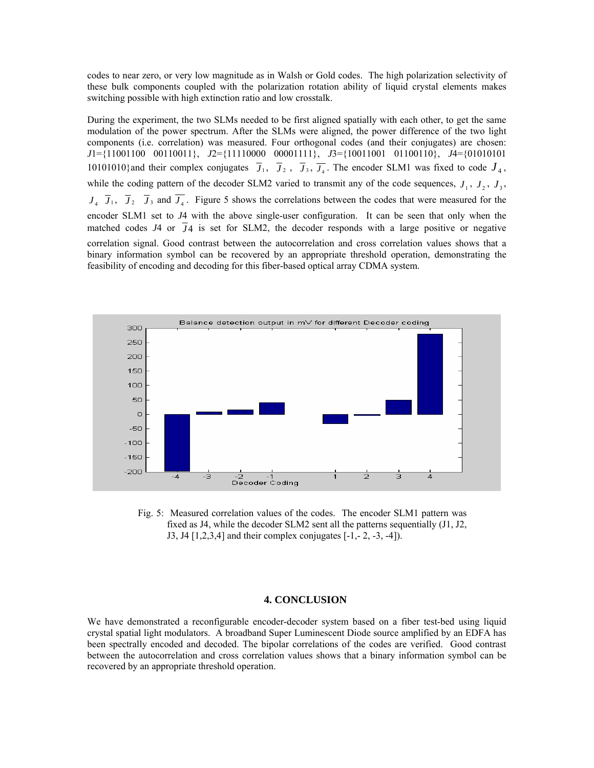codes to near zero, or very low magnitude as in Walsh or Gold codes. The high polarization selectivity of these bulk components coupled with the polarization rotation ability of liquid crystal elements makes switching possible with high extinction ratio and low crosstalk.

During the experiment, the two SLMs needed to be first aligned spatially with each other, to get the same modulation of the power spectrum. After the SLMs were aligned, the power difference of the two light components (i.e. correlation) was measured. Four orthogonal codes (and their conjugates) are chosen: *J*1={11001100 00110011}, *J*2={11110000 00001111}, *J*3={10011001 01100110}, *J*4={01010101 10101010} and their complex conjugates  $\overline{J}_1$ ,  $\overline{J}_2$ ,  $\overline{J}_3$ ,  $\overline{J}_4$ . The encoder SLM1 was fixed to code  $J_4$ , while the coding pattern of the decoder SLM2 varied to transmit any of the code sequences,  $J_1$ ,  $J_2$ ,  $J_3$ ,  $J_4$   $\overline{J}_1$ ,  $\overline{J}_2$   $\overline{J}_3$  and  $\overline{J}_4$ . Figure 5 shows the correlations between the codes that were measured for the encoder SLM1 set to *J*4 with the above single-user configuration. It can be seen that only when the matched codes *J*4 or *J* 4 is set for SLM2, the decoder responds with a large positive or negative correlation signal. Good contrast between the autocorrelation and cross correlation values shows that a binary information symbol can be recovered by an appropriate threshold operation, demonstrating the feasibility of encoding and decoding for this fiber-based optical array CDMA system.



Fig. 5: Measured correlation values of the codes. The encoder SLM1 pattern was fixed as J4, while the decoder SLM2 sent all the patterns sequentially (J1, J2, J3, J4 [1,2,3,4] and their complex conjugates [-1,- 2, -3, -4]).

# **4. CONCLUSION**

We have demonstrated a reconfigurable encoder-decoder system based on a fiber test-bed using liquid crystal spatial light modulators. A broadband Super Luminescent Diode source amplified by an EDFA has been spectrally encoded and decoded. The bipolar correlations of the codes are verified. Good contrast between the autocorrelation and cross correlation values shows that a binary information symbol can be recovered by an appropriate threshold operation.